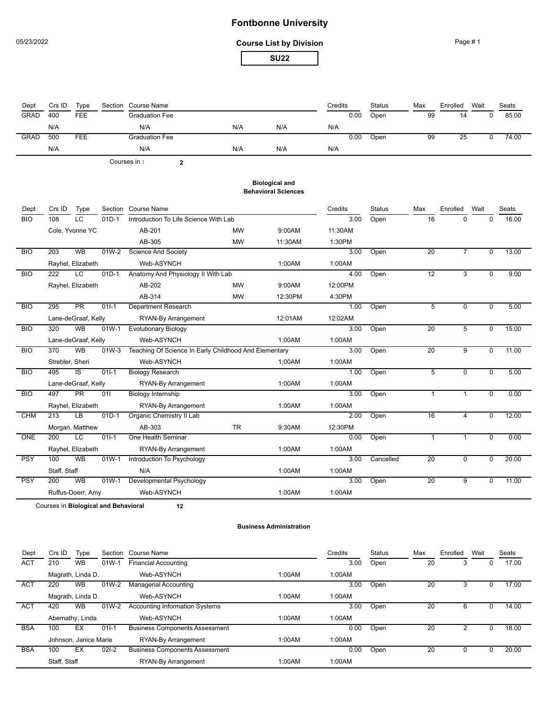**Course List by Division**

| п |
|---|
|   |

Page # 1

| Dept        | Crs ID          | Type                     | Section                              | <b>Course Name</b>                                    |           |                                                     | Credits | <b>Status</b> | Max             | Enrolled        | Wait           | Seats |
|-------------|-----------------|--------------------------|--------------------------------------|-------------------------------------------------------|-----------|-----------------------------------------------------|---------|---------------|-----------------|-----------------|----------------|-------|
| <b>GRAD</b> | 400             | <b>FEE</b>               |                                      | <b>Graduation Fee</b>                                 |           |                                                     | 0.00    | Open          | 99              | 14              | $\Omega$       | 85.00 |
|             | N/A             |                          |                                      | N/A                                                   | N/A       | N/A                                                 | N/A     |               |                 |                 |                |       |
| <b>GRAD</b> | 500             | <b>FEE</b>               |                                      | <b>Graduation Fee</b>                                 |           |                                                     | 0.00    | Open          | 99              | $\overline{25}$ | $\overline{0}$ | 74.00 |
|             | N/A             |                          |                                      | N/A                                                   | N/A       | N/A                                                 | N/A     |               |                 |                 |                |       |
|             |                 |                          |                                      | Courses in:<br>$\mathbf{2}$                           |           |                                                     |         |               |                 |                 |                |       |
|             |                 |                          |                                      |                                                       |           | <b>Biological and</b><br><b>Behavioral Sciences</b> |         |               |                 |                 |                |       |
| Dept        | Crs ID          | Type                     | Section                              | <b>Course Name</b>                                    |           |                                                     | Credits | <b>Status</b> | Max             | Enrolled Wait   |                | Seats |
| <b>BIO</b>  | 108             | LC                       | $01D-1$                              | Introduction To Life Science With Lab                 |           |                                                     | 3.00    | Open          | 16              | $\Omega$        | $\mathbf 0$    | 16.00 |
|             |                 | Cole, Yvonne YC          |                                      | AB-201                                                | <b>MW</b> | 9:00AM                                              | 11:30AM |               |                 |                 |                |       |
|             |                 |                          |                                      | AB-305                                                | <b>MW</b> | 11:30AM                                             | 1:30PM  |               |                 |                 |                |       |
| <b>BIO</b>  | 203             | <b>WB</b>                | $01W-2$                              | <b>Science And Society</b>                            |           |                                                     | 3.00    | Open          | 20              | $\overline{7}$  | $\mathbf 0$    | 13.00 |
|             |                 | Rayhel, Elizabeth        |                                      | Web-ASYNCH                                            |           | 1:00AM                                              | 1:00AM  |               |                 |                 |                |       |
| <b>BIO</b>  | 222             | LC                       | $01D-1$                              | Anatomy And Physiology II With Lab                    |           |                                                     | 4.00    | Open          | $\overline{12}$ | $\overline{3}$  | $\overline{0}$ | 9.00  |
|             |                 | Rayhel, Elizabeth        |                                      | AB-202                                                | <b>MW</b> | 9:00AM                                              | 12:00PM |               |                 |                 |                |       |
|             |                 |                          |                                      | AB-314                                                | <b>MW</b> | 12:30PM                                             | 4:30PM  |               |                 |                 |                |       |
| <b>BIO</b>  | 295             | PR                       | $011-1$                              | <b>Department Research</b>                            |           |                                                     | 1.00    | Open          | $\overline{5}$  | $\overline{0}$  | $\overline{0}$ | 5.00  |
|             |                 | Lane-deGraaf, Kelly      |                                      | RYAN-By Arrangement                                   |           | 12:01AM                                             | 12:02AM |               |                 |                 |                |       |
| <b>BIO</b>  | 320             | <b>WB</b>                | $01W-1$                              | <b>Evolutionary Biology</b>                           |           |                                                     | 3.00    | Open          | 20              | $\overline{5}$  | $\overline{0}$ | 15.00 |
|             |                 | Lane-deGraaf, Kelly      |                                      | Web-ASYNCH                                            |           | 1:00AM                                              | 1:00AM  |               |                 |                 |                |       |
| <b>BIO</b>  | 370             | <b>WB</b>                | $01W-3$                              | Teaching Of Science In Early Childhood And Elementary |           |                                                     | 3.00    | Open          | $\overline{20}$ | $\overline{9}$  | $\overline{0}$ | 11.00 |
|             | Strebler, Sheri |                          |                                      | Web-ASYNCH                                            |           | 1:00AM                                              | 1:00AM  |               |                 |                 |                |       |
| <b>BIO</b>  | 495             | $\overline{\mathsf{IS}}$ | $011-1$                              | <b>Biology Research</b>                               |           |                                                     | 1.00    | Open          | $\overline{5}$  | $\overline{0}$  | $\overline{0}$ | 5.00  |
|             |                 | Lane-deGraaf, Kelly      |                                      | RYAN-By Arrangement                                   |           | 1:00AM                                              | 1:00AM  |               |                 |                 |                |       |
| <b>BIO</b>  | 497             | $\overline{\mathsf{PR}}$ | 011                                  | Biology Internship                                    |           |                                                     | 3.00    | Open          | $\overline{1}$  | $\overline{1}$  | $\overline{0}$ | 0.00  |
|             |                 | Rayhel, Elizabeth        |                                      | RYAN-By Arrangement                                   |           | 1:00AM                                              | 1:00AM  |               |                 |                 |                |       |
| <b>CHM</b>  | 213             | $\overline{LB}$          | $01D-1$                              | <b>Organic Chemistry II Lab</b>                       |           |                                                     | 2.00    | Open          | 16              | $\overline{4}$  | $\overline{0}$ | 12.00 |
|             |                 | Morgan, Matthew          |                                      | AB-303                                                | <b>TR</b> | 9:30AM                                              | 12:30PM |               |                 |                 |                |       |
| ONE         | 200             | LC                       | $011 - 1$                            | One Health Seminar                                    |           |                                                     | 0.00    | Open          | $\overline{1}$  | $\overline{1}$  | $\overline{0}$ | 0.00  |
|             |                 | Rayhel, Elizabeth        |                                      | RYAN-By Arrangement                                   |           | 1:00AM                                              | 1:00AM  |               |                 |                 |                |       |
| <b>PSY</b>  | 100             | <b>WB</b>                | $01W-1$                              | Introduction To Psychology                            |           |                                                     | 3.00    | Cancelled     | 20              | $\overline{0}$  | $\overline{0}$ | 20.00 |
|             | Staff, Staff    |                          |                                      | N/A                                                   |           | 1:00AM                                              | 1:00AM  |               |                 |                 |                |       |
| <b>PSY</b>  | 200             | <b>WB</b>                | $01W-1$                              | Developmental Psychology                              |           |                                                     | 3.00    | Open          | $\overline{20}$ | $\overline{9}$  | $\mathbf 0$    | 11.00 |
|             |                 | Ruffus-Doerr, Amy        |                                      | Web-ASYNCH                                            |           | 1:00AM                                              | 1:00AM  |               |                 |                 |                |       |
|             |                 |                          | Courses in Biological and Behavioral | 12                                                    |           |                                                     |         |               |                 |                 |                |       |

#### **Business Administration**

| Dept       | Crs ID       | Type                  | Section | Course Name                           |        | Credits | <b>Status</b> | Max | Enrolled | Wait | Seats |
|------------|--------------|-----------------------|---------|---------------------------------------|--------|---------|---------------|-----|----------|------|-------|
| <b>ACT</b> | 210          | WВ                    | $01W-1$ | Financial Accounting                  |        | 3.00    | Open          | 20  | 3        |      | 17.00 |
|            |              | Magrath, Linda D.     |         | Web-ASYNCH                            | 1:00AM | 1:00AM  |               |     |          |      |       |
| <b>ACT</b> | 220          | WB.                   | 01W-2   | Managerial Accounting                 |        | 3.00    | Open          | 20  |          |      | 17.00 |
|            |              | Magrath, Linda D.     |         | Web-ASYNCH                            | 1:00AM | 1:00AM  |               |     |          |      |       |
| <b>ACT</b> | 420          | <b>WB</b>             | 01W-2   | <b>Accounting Information Systems</b> |        | 3.00    | Open          | 20  | 6        |      | 14.00 |
|            |              | Abernathy, Linda      |         | Web-ASYNCH                            | 1:00AM | 1:00AM  |               |     |          |      |       |
| <b>BSA</b> | 100          | EX                    | $011-1$ | <b>Business Components Assessment</b> |        | 0.00    | Open          | 20  |          | 0    | 18.00 |
|            |              | Johnson, Janice Marie |         | RYAN-By Arrangement                   | 1:00AM | 1:00AM  |               |     |          |      |       |
| <b>BSA</b> | 100          | EX                    | $02I-2$ | <b>Business Components Assessment</b> |        | 0.00    | Open          | 20  |          |      | 20.00 |
|            | Staff, Staff |                       |         | RYAN-By Arrangement                   | 1:00AM | 1:00AM  |               |     |          |      |       |

05/23/2022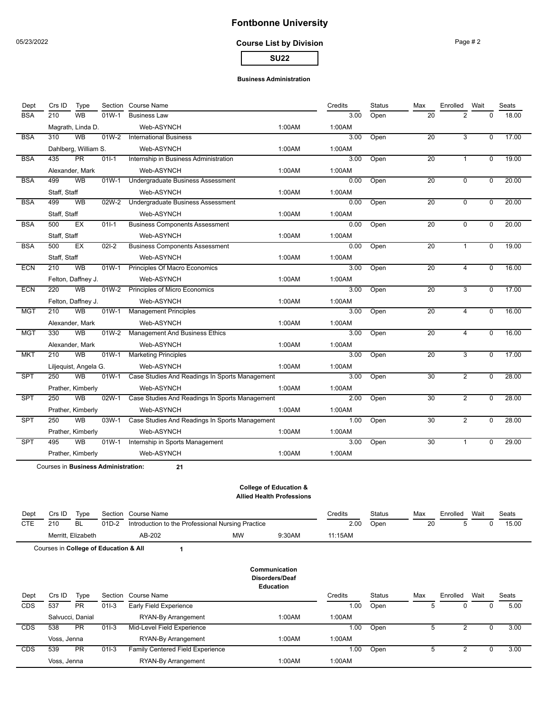#### 05/23/2022

### **Fontbonne University**

**Course List by Division**

**SU22**

#### **Business Administration**

| Dept       | Crs ID       | Type                  |         | Section Course Name                            |        | Credits | <b>Status</b> | Max             | Enrolled       | Wait           | Seats |
|------------|--------------|-----------------------|---------|------------------------------------------------|--------|---------|---------------|-----------------|----------------|----------------|-------|
| <b>BSA</b> | 210          | <b>WB</b>             | 01W-1   | <b>Business Law</b>                            |        | 3.00    | Open          | 20              | 2              | $\Omega$       | 18.00 |
|            |              | Magrath, Linda D.     |         | Web-ASYNCH                                     | 1:00AM | 1:00AM  |               |                 |                |                |       |
| <b>BSA</b> | 310          | <b>WB</b>             | 01W-2   | <b>International Business</b>                  |        | 3.00    | Open          | $\overline{20}$ | $\overline{3}$ | $\Omega$       | 17.00 |
|            |              | Dahlberg, William S.  |         | Web-ASYNCH                                     | 1:00AM | 1:00AM  |               |                 |                |                |       |
| <b>BSA</b> | 435          | PR                    | $011-1$ | Internship in Business Administration          |        | 3.00    | Open          | $\overline{20}$ | $\mathbf{1}$   | $\overline{0}$ | 19.00 |
|            |              | Alexander, Mark       |         | Web-ASYNCH                                     | 1:00AM | 1:00AM  |               |                 |                |                |       |
| <b>BSA</b> | 499          | <b>WB</b>             | $01W-1$ | Undergraduate Business Assessment              |        | 0.00    | Open          | $\overline{20}$ | $\overline{0}$ | $\mathbf 0$    | 20.00 |
|            | Staff, Staff |                       |         | Web-ASYNCH                                     | 1:00AM | 1:00AM  |               |                 |                |                |       |
| <b>BSA</b> | 499          | <b>WB</b>             | $02W-2$ | Undergraduate Business Assessment              |        | 0.00    | Open          | $\overline{20}$ | $\overline{0}$ | $\Omega$       | 20.00 |
|            | Staff, Staff |                       |         | Web-ASYNCH                                     | 1:00AM | 1:00AM  |               |                 |                |                |       |
| <b>BSA</b> | 500          | EX                    | $01I-1$ | <b>Business Components Assessment</b>          |        | 0.00    | Open          | 20              | $\overline{0}$ | 0              | 20.00 |
|            | Staff, Staff |                       |         | Web-ASYNCH                                     | 1:00AM | 1:00AM  |               |                 |                |                |       |
| <b>BSA</b> | 500          | EX                    | $02I-2$ | <b>Business Components Assessment</b>          |        | 0.00    | Open          | $\overline{20}$ | $\mathbf{1}$   | $\overline{0}$ | 19.00 |
|            | Staff, Staff |                       |         | Web-ASYNCH                                     | 1:00AM | 1:00AM  |               |                 |                |                |       |
| <b>ECN</b> | 210          | <b>WB</b>             | $01W-1$ | <b>Principles Of Macro Economics</b>           |        | 3.00    | Open          | $\overline{20}$ | $\overline{4}$ | $\overline{0}$ | 16.00 |
|            |              | Felton, Daffney J.    |         | Web-ASYNCH                                     | 1:00AM | 1:00AM  |               |                 |                |                |       |
| <b>ECN</b> | 220          | <b>WB</b>             | 01W-2   | <b>Principles of Micro Economics</b>           |        | 3.00    | Open          | 20              | $\overline{3}$ | 0              | 17.00 |
|            |              | Felton, Daffney J.    |         | Web-ASYNCH                                     | 1:00AM | 1:00AM  |               |                 |                |                |       |
| <b>MGT</b> | 210          | <b>WB</b>             | $01W-1$ | <b>Management Principles</b>                   |        | 3.00    | Open          | $\overline{20}$ | $\overline{4}$ | 0              | 16.00 |
|            |              | Alexander, Mark       |         | Web-ASYNCH                                     | 1:00AM | 1:00AM  |               |                 |                |                |       |
| <b>MGT</b> | 330          | <b>WB</b>             | 01W-2   | <b>Management And Business Ethics</b>          |        | 3.00    | Open          | 20              | $\overline{4}$ | $\mathbf 0$    | 16.00 |
|            |              | Alexander, Mark       |         | Web-ASYNCH                                     | 1:00AM | 1:00AM  |               |                 |                |                |       |
| <b>MKT</b> | 210          | <b>WB</b>             | $01W-1$ | <b>Marketing Principles</b>                    |        | 3.00    | Open          | 20              | 3              | $\mathbf 0$    | 17.00 |
|            |              | Liljequist, Angela G. |         | Web-ASYNCH                                     | 1:00AM | 1:00AM  |               |                 |                |                |       |
| <b>SPT</b> | 250          | <b>WB</b>             | $01W-1$ | Case Studies And Readings In Sports Management |        | 3.00    | Open          | 30              | $\overline{2}$ | $\Omega$       | 28.00 |
|            |              | Prather, Kimberly     |         | Web-ASYNCH                                     | 1:00AM | 1:00AM  |               |                 |                |                |       |
| <b>SPT</b> | 250          | <b>WB</b>             | 02W-1   | Case Studies And Readings In Sports Management |        | 2.00    | Open          | $\overline{30}$ | $\overline{2}$ | 0              | 28.00 |
|            |              | Prather, Kimberly     |         | Web-ASYNCH                                     | 1:00AM | 1:00AM  |               |                 |                |                |       |
| <b>SPT</b> | 250          | <b>WB</b>             | $03W-1$ | Case Studies And Readings In Sports Management |        | 1.00    | Open          | 30              | $\overline{2}$ | $\Omega$       | 28.00 |
|            |              | Prather, Kimberly     |         | Web-ASYNCH                                     | 1:00AM | 1:00AM  |               |                 |                |                |       |
| <b>SPT</b> | 495          | <b>WB</b>             | $01W-1$ | Internship in Sports Management                |        | 3.00    | Open          | 30              | 1              | $\mathbf 0$    | 29.00 |
|            |              | Prather, Kimberly     |         | Web-ASYNCH                                     | 1:00AM | 1:00AM  |               |                 |                |                |       |

Courses in **Business Administration: 21**

#### **College of Education & Allied Health Professions**

| Dept       | Crs ID             | Tvpe      |         | Section Course Name                               |           |        |        | Status | Max | Enrolled | Wait | Seats |       |
|------------|--------------------|-----------|---------|---------------------------------------------------|-----------|--------|--------|--------|-----|----------|------|-------|-------|
| <b>CTE</b> | 210                | <b>BL</b> | $01D-2$ | Introduction to the Professional Nursing Practice |           |        | 2.00   | Open   | 20  |          |      |       | 15.00 |
|            | Merritt, Elizabeth |           |         | AB-202                                            | <b>MW</b> | 9:30AM | 1:15AM |        |     |          |      |       |       |

Courses in **College of Education & All** 1

#### **Communication Disorders/Deaf Education**

| Dept | Crs ID      | Type             |         | Section Course Name              |        | Credits | <b>Status</b> | Max | Enrolled | Wait | Seats |
|------|-------------|------------------|---------|----------------------------------|--------|---------|---------------|-----|----------|------|-------|
| CDS  | 537         | <b>PR</b>        | $011-3$ | Early Field Experience           |        | .00     | Open          | 5   |          |      | 5.00  |
|      |             | Salvucci, Danial |         | RYAN-By Arrangement              | 1:00AM | 1:00AM  |               |     |          |      |       |
| CDS  | 538         | <b>PR</b>        | $011-3$ | Mid-Level Field Experience       |        | .00     | Open          |     |          |      | 3.00  |
|      | Voss, Jenna |                  |         | RYAN-By Arrangement              | 1:00AM | 1:00AM  |               |     |          |      |       |
| CDS  | 539         | <b>PR</b>        | $011-3$ | Family Centered Field Experience |        | .00     | Open          |     |          |      | 3.00  |
|      | Voss, Jenna |                  |         | RYAN-By Arrangement              | 1:00AM | 1:00AM  |               |     |          |      |       |

Page # 2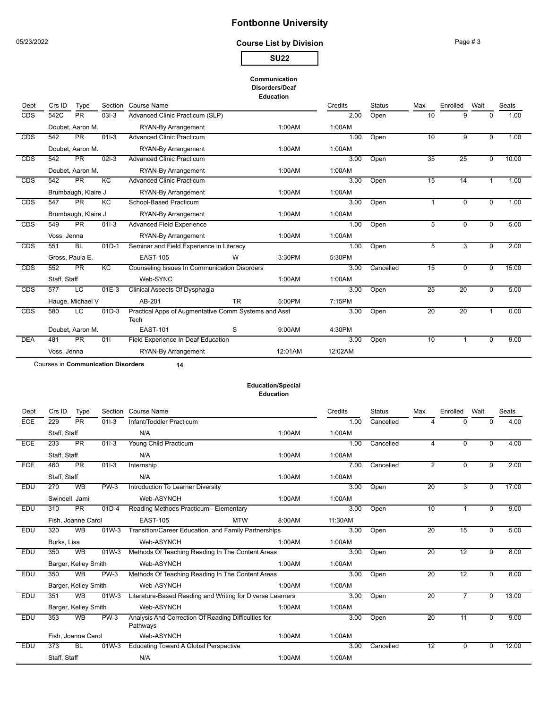05/23/2022

### **Course List by Division**

# **SU22**

Page # 3

# **Communication**

**Disorders/Deaf Education**

| Dept       | Crs ID          | Type                | Section         | <b>Course Name</b>                                           |           |         | Credits | <b>Status</b> | Max             | Enrolled        | Wait |          | <b>Seats</b> |
|------------|-----------------|---------------------|-----------------|--------------------------------------------------------------|-----------|---------|---------|---------------|-----------------|-----------------|------|----------|--------------|
| CDS        | 542C            | <b>PR</b>           | $03I-3$         | Advanced Clinic Practicum (SLP)                              |           |         | 2.00    | Open          | 10              | 9               |      | $\Omega$ | 1.00         |
|            |                 | Doubet, Aaron M.    |                 | RYAN-By Arrangement                                          |           | 1:00AM  | 1:00AM  |               |                 |                 |      |          |              |
| CDS        | 542             | PR                  | $011-3$         | <b>Advanced Clinic Practicum</b>                             |           |         | 1.00    | Open          | 10              | 9               |      | $\Omega$ | 1.00         |
|            |                 | Doubet, Aaron M.    |                 | RYAN-By Arrangement                                          |           | 1:00AM  | 1:00AM  |               |                 |                 |      |          |              |
| CDS        | 542             | PR                  | $02I-3$         | <b>Advanced Clinic Practicum</b>                             |           |         | 3.00    | Open          | 35              | $\overline{25}$ |      | $\Omega$ | 10.00        |
|            |                 | Doubet, Aaron M.    |                 | RYAN-By Arrangement                                          |           | 1:00AM  | 1:00AM  |               |                 |                 |      |          |              |
| CDS        | 542             | PR                  | $\overline{KC}$ | <b>Advanced Clinic Practicum</b>                             |           |         | 3.00    | Open          | 15              | 14              |      |          | 1.00         |
|            |                 | Brumbaugh, Klaire J |                 | RYAN-By Arrangement                                          |           | 1:00AM  | 1:00AM  |               |                 |                 |      |          |              |
| CDS        | 547             | PR                  | K <sub>C</sub>  | School-Based Practicum                                       |           |         | 3.00    | Open          | 1               | 0               |      | 0        | 1.00         |
|            |                 | Brumbaugh, Klaire J |                 | RYAN-By Arrangement                                          |           | 1:00AM  | 1:00AM  |               |                 |                 |      |          |              |
| CDS        | 549             | PR                  | $011-3$         | <b>Advanced Field Experience</b>                             |           |         | 1.00    | Open          | 5               | 0               |      | $\Omega$ | 5.00         |
|            | Voss, Jenna     |                     |                 | RYAN-By Arrangement                                          |           | 1:00AM  | 1:00AM  |               |                 |                 |      |          |              |
| CDS        | 551             | <b>BL</b>           | $01D-1$         | Seminar and Field Experience in Literacy                     |           |         | 1.00    | Open          | $5\overline{)}$ | $\overline{3}$  |      | $\Omega$ | 2.00         |
|            | Gross, Paula E. |                     |                 | <b>EAST-105</b>                                              | W         | 3:30PM  | 5:30PM  |               |                 |                 |      |          |              |
| <b>CDS</b> | 552             | PR                  | KC              | <b>Counseling Issues In Communication Disorders</b>          |           |         | 3.00    | Cancelled     | 15              | $\Omega$        |      | $\Omega$ | 15.00        |
|            | Staff, Staff    |                     |                 | Web-SYNC                                                     |           | 1:00AM  | 1:00AM  |               |                 |                 |      |          |              |
| CDS        | 577             | $\overline{LC}$     | $01E-3$         | Clinical Aspects Of Dysphagia                                |           |         | 3.00    | Open          | 25              | $\overline{20}$ |      | $\Omega$ | 5.00         |
|            |                 | Hauge, Michael V    |                 | AB-201                                                       | <b>TR</b> | 5:00PM  | 7:15PM  |               |                 |                 |      |          |              |
| CDS        | 580             | LC                  | $01D-3$         | Practical Apps of Augmentative Comm Systems and Asst<br>Tech |           |         | 3.00    | Open          | 20              | 20              |      |          | 0.00         |
|            |                 | Doubet, Aaron M.    |                 | <b>EAST-101</b>                                              | S         | 9:00AM  | 4:30PM  |               |                 |                 |      |          |              |
| <b>DEA</b> | 481             | PR                  | 011             | Field Experience In Deaf Education                           |           |         | 3.00    | Open          | 10              | 1               |      | 0        | 9.00         |
|            | Voss, Jenna     |                     |                 | RYAN-By Arrangement                                          |           | 12:01AM | 12:02AM |               |                 |                 |      |          |              |

Courses in **Communication Disorders 14**

#### **Education/Special Education**

| Dept       | Crs ID         | Type                 | Section | <b>Course Name</b>                                              |            |        | Credits | <b>Status</b> | Max             | Enrolled        | Wait     | <b>Seats</b> |
|------------|----------------|----------------------|---------|-----------------------------------------------------------------|------------|--------|---------|---------------|-----------------|-----------------|----------|--------------|
| ECE        | 229            | <b>PR</b>            | $011-3$ | Infant/Toddler Practicum                                        |            |        | 1.00    | Cancelled     | 4               | $\Omega$        | ŋ        | 4.00         |
|            | Staff, Staff   |                      |         | N/A                                                             |            | 1:00AM | 1:00AM  |               |                 |                 |          |              |
| ECE        | 233            | PR                   | $011-3$ | Young Child Practicum                                           |            |        | 1.00    | Cancelled     | $\overline{4}$  | $\Omega$        | $\Omega$ | 4.00         |
|            | Staff, Staff   |                      |         | N/A                                                             |            | 1:00AM | 1:00AM  |               |                 |                 |          |              |
| ECE        | 460            | <b>PR</b>            | $011-3$ | Internship                                                      |            |        | 7.00    | Cancelled     | 2               | $\Omega$        | $\Omega$ | 2.00         |
|            | Staff, Staff   |                      |         | N/A                                                             |            | 1:00AM | 1:00AM  |               |                 |                 |          |              |
| <b>EDU</b> | 270            | <b>WB</b>            | $PW-3$  | Introduction To Learner Diversity                               |            |        | 3.00    | Open          | $\overline{20}$ | 3               | $\Omega$ | 17.00        |
|            | Swindell, Jami |                      |         | Web-ASYNCH                                                      |            | 1:00AM | 1:00AM  |               |                 |                 |          |              |
| <b>EDU</b> | 310            | PR                   | $01D-4$ | Reading Methods Practicum - Elementary                          |            |        | 3.00    | Open          | 10              |                 | $\Omega$ | 9.00         |
|            |                | Fish, Joanne Carol   |         | <b>EAST-105</b>                                                 | <b>MTW</b> | 8:00AM | 11:30AM |               |                 |                 |          |              |
| EDU        | 320            | <b>WB</b>            | 01W-3   | Transition/Career Education, and Family Partnerships            |            |        | 3.00    | Open          | 20              | 15              | $\Omega$ | 5.00         |
|            | Burks, Lisa    |                      |         | Web-ASYNCH                                                      |            | 1:00AM | 1:00AM  |               |                 |                 |          |              |
| EDU        | 350            | <b>WB</b>            | 01W-3   | Methods Of Teaching Reading In The Content Areas                |            |        | 3.00    | Open          | $\overline{20}$ | $\overline{12}$ | $\Omega$ | 8.00         |
|            |                | Barger, Kelley Smith |         | Web-ASYNCH                                                      |            | 1:00AM | 1:00AM  |               |                 |                 |          |              |
| <b>EDU</b> | 350            | <b>WB</b>            | $PW-3$  | Methods Of Teaching Reading In The Content Areas                |            |        | 3.00    | Open          | $\overline{20}$ | $\overline{12}$ | $\Omega$ | 8.00         |
|            |                | Barger, Kelley Smith |         | Web-ASYNCH                                                      |            | 1:00AM | 1:00AM  |               |                 |                 |          |              |
| EDU        | 351            | <b>WB</b>            | 01W-3   | Literature-Based Reading and Writing for Diverse Learners       |            |        | 3.00    | Open          | $\overline{20}$ | $\overline{7}$  | $\Omega$ | 13.00        |
|            |                | Barger, Kelley Smith |         | Web-ASYNCH                                                      |            | 1:00AM | 1:00AM  |               |                 |                 |          |              |
| EDU        | 353            | <b>WB</b>            | $PW-3$  | Analysis And Correction Of Reading Difficulties for<br>Pathways |            |        | 3.00    | Open          | $\overline{20}$ | $\overline{11}$ | $\Omega$ | 9.00         |
|            |                | Fish, Joanne Carol   |         | Web-ASYNCH                                                      |            | 1:00AM | 1:00AM  |               |                 |                 |          |              |
| EDU        | 373            | <b>BL</b>            | 01W-3   | <b>Educating Toward A Global Perspective</b>                    |            |        | 3.00    | Cancelled     | 12              | $\mathbf 0$     | $\Omega$ | 12.00        |
|            | Staff, Staff   |                      |         | N/A                                                             |            | 1:00AM | 1:00AM  |               |                 |                 |          |              |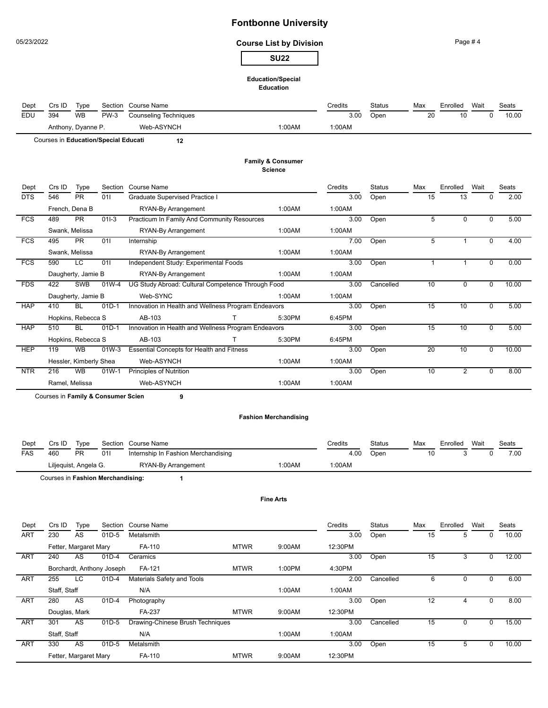05/23/2022

# **Fontbonne University**

### **Course List by Division**

| ÷<br>۰.,<br>w<br>. . |
|----------------------|
|----------------------|

Page # 4

#### **Education/Special Education**

| Dept | $Crs$ ID           | Tvpe      |      | Section Course Name   |        | Credits | <b>Status</b> | Max | Enrolled | Wait | Seats |
|------|--------------------|-----------|------|-----------------------|--------|---------|---------------|-----|----------|------|-------|
| EDU  | 394                | <b>WB</b> | PW-3 | Counseling Techniques |        | 3.00    | Open          | 20  | 10       |      | 10.00 |
|      | Anthony, Dyanne P. |           |      | Web-ASYNCH            | 1:00AM | 1:00AM  |               |     |          |      |       |

Courses in **Education/Special Educati 12**

#### **Family & Consumer Science**

| Dept       | Crs ID | Type                   | Section | Course Name                                         |        | Credits | <b>Status</b> | Max | Enrolled       | Wait | Seats |
|------------|--------|------------------------|---------|-----------------------------------------------------|--------|---------|---------------|-----|----------------|------|-------|
| <b>DTS</b> | 546    | <b>PR</b>              | 011     | Graduate Supervised Practice I                      |        | 3.00    | Open          | 15  | 13             | n    | 2.00  |
|            |        | French, Dena B         |         | RYAN-By Arrangement                                 | 1:00AM | 1:00AM  |               |     |                |      |       |
| <b>FCS</b> | 489    | <b>PR</b>              | $011-3$ | Practicum In Family And Community Resources         |        | 3.00    | Open          | 5   | 0              | 0    | 5.00  |
|            |        | Swank, Melissa         |         | RYAN-By Arrangement                                 | 1:00AM | 1:00AM  |               |     |                |      |       |
| FCS        | 495    | PR                     | 011     | Internship                                          |        | 7.00    | Open          | 5   |                | 0    | 4.00  |
|            |        | Swank, Melissa         |         | RYAN-By Arrangement                                 | 1:00AM | 1:00AM  |               |     |                |      |       |
| FCS        | 590    | LC                     | 011     | Independent Study: Experimental Foods               |        | 3.00    | Open          |     |                |      | 0.00  |
|            |        | Daugherty, Jamie B     |         | RYAN-By Arrangement                                 | 1:00AM | 1:00AM  |               |     |                |      |       |
| <b>FDS</b> | 422    | <b>SWB</b>             | 01W-4   | UG Study Abroad: Cultural Competence Through Food   |        | 3.00    | Cancelled     | 10  | 0              |      | 10.00 |
|            |        | Daugherty, Jamie B     |         | Web-SYNC                                            | 1:00AM | 1:00AM  |               |     |                |      |       |
| <b>HAP</b> | 410    | <b>BL</b>              | $01D-1$ | Innovation in Health and Wellness Program Endeavors |        | 3.00    | Open          | 15  | 10             | 0    | 5.00  |
|            |        | Hopkins, Rebecca S     |         | AB-103                                              | 5:30PM | 6:45PM  |               |     |                |      |       |
| <b>HAP</b> | 510    | <b>BL</b>              | $01D-1$ | Innovation in Health and Wellness Program Endeavors |        | 3.00    | Open          | 15  | 10             | 0    | 5.00  |
|            |        | Hopkins, Rebecca S     |         | AB-103                                              | 5:30PM | 6:45PM  |               |     |                |      |       |
| <b>HEP</b> | 119    | <b>WB</b>              | 01W-3   | Essential Concepts for Health and Fitness           |        | 3.00    | Open          | 20  | 10             | U    | 10.00 |
|            |        | Hessler, Kimberly Shea |         | Web-ASYNCH                                          | 1:00AM | 1:00AM  |               |     |                |      |       |
| <b>NTR</b> | 216    | <b>WB</b>              | 01W-1   | Principles of Nutrition                             |        | 3.00    | Open          | 10  | $\mathfrak{p}$ | U    | 8.00  |
|            |        | Ramel, Melissa         |         | Web-ASYNCH                                          | 1:00AM | 1:00AM  |               |     |                |      |       |

Courses in **Family & Consumer Scien 9**

#### **Fashion Merchandising**

| Dept       | Crs ID | Type                  |    | Section Course Name                 |       | Credits | Status | Max | Enrolled | Wait | Seats |
|------------|--------|-----------------------|----|-------------------------------------|-------|---------|--------|-----|----------|------|-------|
| <b>FAS</b> | 460    | <b>PR</b>             | 01 | Internship In Fashion Merchandising |       | 4.00    | Open   | 10  |          |      | 7.00  |
|            |        | Liljequist, Angela G. |    | RYAN-By Arrangement                 | :00AM | 1:00AM  |        |     |          |      |       |

Courses in **Fashion Merchandising: 1**

#### **Fine Arts**

| Dept       | Crs ID                | Type                  | Section                   | <b>Course Name</b>               |             |        | Credits | <b>Status</b> | Max | Enrolled | Wait         | Seats |
|------------|-----------------------|-----------------------|---------------------------|----------------------------------|-------------|--------|---------|---------------|-----|----------|--------------|-------|
| <b>ART</b> | 230                   | AS                    | 01D-5                     | Metalsmith                       |             |        | 3.00    | Open          | 15  | 5        | 0            | 10.00 |
|            | Fetter, Margaret Mary |                       |                           | FA-110                           | <b>MTWR</b> | 9:00AM | 12:30PM |               |     |          |              |       |
| ART        | 240                   | AS                    | $01D-4$                   | Ceramics                         |             |        | 3.00    | Open          | 15  | 3        | 0            | 12.00 |
|            |                       |                       | Borchardt, Anthony Joseph | FA-121                           | <b>MTWR</b> | 1:00PM | 4:30PM  |               |     |          |              |       |
| <b>ART</b> | 255                   | LC.                   | 01D-4                     | Materials Safety and Tools       |             |        | 2.00    | Cancelled     | 6   | 0        | 0            | 6.00  |
|            | Staff, Staff          |                       |                           | N/A                              |             | 1:00AM | 1:00AM  |               |     |          |              |       |
| <b>ART</b> | 280                   | AS                    | 01D-4                     | Photography                      |             |        | 3.00    | Open          | 12  |          |              | 8.00  |
|            | Douglas, Mark         |                       |                           | FA-237                           | <b>MTWR</b> | 9:00AM | 12:30PM |               |     |          |              |       |
| <b>ART</b> | 301                   | AS                    | 01D-5                     | Drawing-Chinese Brush Techniques |             |        | 3.00    | Cancelled     | 15  | Ð        | <sup>0</sup> | 15.00 |
|            | Staff, Staff          |                       |                           | N/A                              |             | 1:00AM | 1:00AM  |               |     |          |              |       |
| ART        | 330                   | AS                    | 01D-5                     | Metalsmith                       |             |        | 3.00    | Open          | 15  | 5        | 0            | 10.00 |
|            |                       | Fetter, Margaret Mary |                           | FA-110                           | <b>MTWR</b> | 9:00AM | 12:30PM |               |     |          |              |       |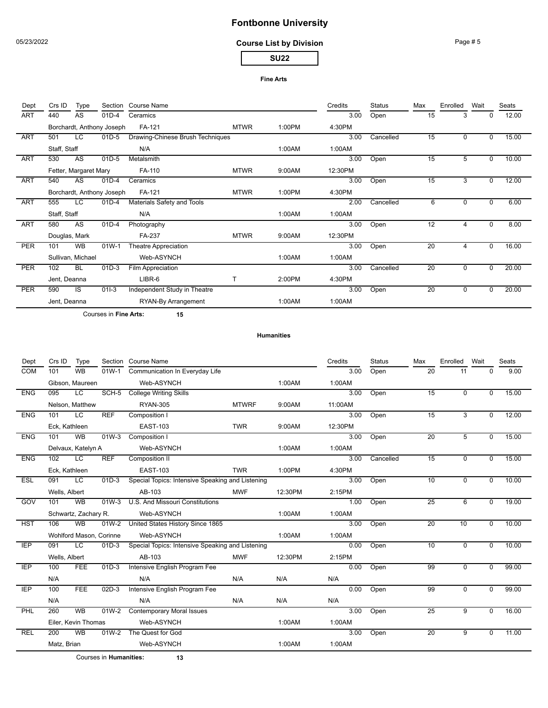05/23/2022

### **Course List by Division**

Page # 5

**SU22**

#### **Fine Arts**

| Dept       | Crs ID        | Type                  | Section                   | <b>Course Name</b>               |             |        | Credits | <b>Status</b> | Max | Enrolled    | Wait | Seats |
|------------|---------------|-----------------------|---------------------------|----------------------------------|-------------|--------|---------|---------------|-----|-------------|------|-------|
| <b>ART</b> | 440           | AS                    | 01D-4                     | Ceramics                         |             |        | 3.00    | Open          | 15  | 3           | 0    | 12.00 |
|            |               |                       | Borchardt, Anthony Joseph | FA-121                           | <b>MTWR</b> | 1:00PM | 4:30PM  |               |     |             |      |       |
| <b>ART</b> | 501           | LC                    | 01D-5                     | Drawing-Chinese Brush Techniques |             |        | 3.00    | Cancelled     | 15  | 0           | 0    | 15.00 |
|            | Staff, Staff  |                       |                           | N/A                              |             | 1:00AM | 1:00AM  |               |     |             |      |       |
| <b>ART</b> | 530           | AS                    | $01D-5$                   | Metalsmith                       |             |        | 3.00    | Open          | 15  | 5           | 0    | 10.00 |
|            |               | Fetter, Margaret Mary |                           | FA-110                           | <b>MTWR</b> | 9:00AM | 12:30PM |               |     |             |      |       |
| <b>ART</b> | 540           | AS                    | 01D-4                     | Ceramics                         |             |        | 3.00    | Open          | 15  | 3           | 0    | 12.00 |
|            |               |                       | Borchardt, Anthony Joseph | FA-121                           | <b>MTWR</b> | 1:00PM | 4:30PM  |               |     |             |      |       |
| <b>ART</b> | 555           | LC                    | $01D-4$                   | Materials Safety and Tools       |             |        | 2.00    | Cancelled     | 6   | 0           | 0    | 6.00  |
|            | Staff, Staff  |                       |                           | N/A                              |             | 1:00AM | 1:00AM  |               |     |             |      |       |
| <b>ART</b> | 580           | AS                    | 01D-4                     | Photography                      |             |        | 3.00    | Open          | 12  | 4           | 0    | 8.00  |
|            | Douglas, Mark |                       |                           | FA-237                           | <b>MTWR</b> | 9:00AM | 12:30PM |               |     |             |      |       |
| <b>PER</b> | 101           | WB                    | $01W-1$                   | Theatre Appreciation             |             |        | 3.00    | Open          | 20  | 4           | 0    | 16.00 |
|            |               | Sullivan, Michael     |                           | Web-ASYNCH                       |             | 1:00AM | 1:00AM  |               |     |             |      |       |
| <b>PER</b> | 102           | <b>BL</b>             | $01D-3$                   | Film Appreciation                |             |        | 3.00    | Cancelled     | 20  | $\mathbf 0$ | 0    | 20.00 |
|            | Jent, Deanna  |                       |                           | LIBR-6                           | т           | 2:00PM | 4:30PM  |               |     |             |      |       |
| PER        | 590           | IS                    | $011-3$                   | Independent Study in Theatre     |             |        | 3.00    | Open          | 20  | 0           | 0    | 20.00 |
|            | Jent, Deanna  |                       |                           | RYAN-By Arrangement              |             | 1:00AM | 1:00AM  |               |     |             |      |       |

Courses in **Fine Arts: 15**

#### **Humanities**

| Dept       | Crs ID        | Type                    |            | Section Course Name                              |              |         | Credits | <b>Status</b> | Max             | Enrolled       | Wait        | Seats |
|------------|---------------|-------------------------|------------|--------------------------------------------------|--------------|---------|---------|---------------|-----------------|----------------|-------------|-------|
| COM        | 101           | <b>WB</b>               | 01W-1      | Communication In Everyday Life                   |              |         | 3.00    | Open          | 20              | 11             | $\mathbf 0$ | 9.00  |
|            |               | Gibson, Maureen         |            | Web-ASYNCH                                       |              | 1:00AM  | 1:00AM  |               |                 |                |             |       |
| <b>ENG</b> | 095           | $\overline{\text{LC}}$  | SCH-5      | <b>College Writing Skills</b>                    |              |         | 3.00    | Open          | $\overline{15}$ | $\Omega$       | $\Omega$    | 15.00 |
|            |               | Nelson, Matthew         |            | <b>RYAN-305</b>                                  | <b>MTWRF</b> | 9:00AM  | 11:00AM |               |                 |                |             |       |
| <b>ENG</b> | 101           | LC                      | <b>REF</b> | Composition I                                    |              |         | 3.00    | Open          | 15              | $\overline{3}$ | $\mathbf 0$ | 12.00 |
|            | Eck, Kathleen |                         |            | <b>EAST-103</b>                                  | <b>TWR</b>   | 9:00AM  | 12:30PM |               |                 |                |             |       |
| <b>ENG</b> | 101           | <b>WB</b>               | $01W-3$    | Composition I                                    |              |         | 3.00    | Open          | $\overline{20}$ | 5              | 0           | 15.00 |
|            |               | Delvaux, Katelyn A      |            | Web-ASYNCH                                       |              | 1:00AM  | 1:00AM  |               |                 |                |             |       |
| <b>ENG</b> | 102           | LC                      | <b>REF</b> | <b>Composition II</b>                            |              |         | 3.00    | Cancelled     | 15              | 0              | $\mathbf 0$ | 15.00 |
|            | Eck, Kathleen |                         |            | <b>EAST-103</b>                                  | <b>TWR</b>   | 1:00PM  | 4:30PM  |               |                 |                |             |       |
| <b>ESL</b> | 091           | LC                      | $01D-3$    | Special Topics: Intensive Speaking and Listening |              |         | 3.00    | Open          | 10              | $\mathbf 0$    | $\mathbf 0$ | 10.00 |
|            | Wells, Albert |                         |            | AB-103                                           | <b>MWF</b>   | 12:30PM | 2:15PM  |               |                 |                |             |       |
| <b>GOV</b> | 101           | <b>WB</b>               | 01W-3      | U.S. And Missouri Constitutions                  |              |         | 1.00    | Open          | $\overline{25}$ | 6              | $\mathbf 0$ | 19.00 |
|            |               | Schwartz, Zachary R.    |            | Web-ASYNCH                                       |              | 1:00AM  | 1:00AM  |               |                 |                |             |       |
| <b>HST</b> | 106           | <b>WB</b>               | $01W-2$    | United States History Since 1865                 |              |         | 3.00    | Open          | $\overline{20}$ | 10             | $\mathbf 0$ | 10.00 |
|            |               | Wohlford Mason, Corinne |            | Web-ASYNCH                                       |              | 1:00AM  | 1:00AM  |               |                 |                |             |       |
| <b>TEP</b> | 091           | LC                      | $01D-3$    | Special Topics: Intensive Speaking and Listening |              |         | 0.00    | Open          | 10              | 0              | $\mathbf 0$ | 10.00 |
|            | Wells, Albert |                         |            | AB-103                                           | <b>MWF</b>   | 12:30PM | 2:15PM  |               |                 |                |             |       |
| <b>IEP</b> | 100           | <b>FEE</b>              | $01D-3$    | Intensive English Program Fee                    |              |         | 0.00    | Open          | 99              | 0              | 0           | 99.00 |
|            | N/A           |                         |            | N/A                                              | N/A          | N/A     | N/A     |               |                 |                |             |       |
| <b>IEP</b> | 100           | <b>FEE</b>              | $02D-3$    | Intensive English Program Fee                    |              |         | 0.00    | Open          | 99              | $\Omega$       | $\mathbf 0$ | 99.00 |
|            | N/A           |                         |            | N/A                                              | N/A          | N/A     | N/A     |               |                 |                |             |       |
| PHL        | 260           | <b>WB</b>               | $01W-2$    | <b>Contemporary Moral Issues</b>                 |              |         | 3.00    | Open          | 25              | $\overline{9}$ | $\mathbf 0$ | 16.00 |
|            |               | Eiler, Kevin Thomas     |            | Web-ASYNCH                                       |              | 1:00AM  | 1:00AM  |               |                 |                |             |       |
| <b>REL</b> | 200           | <b>WB</b>               | $01W-2$    | The Quest for God                                |              |         | 3.00    | Open          | $\overline{20}$ | 9              | $\mathbf 0$ | 11.00 |
|            | Matz, Brian   |                         |            | Web-ASYNCH                                       |              | 1:00AM  | 1:00AM  |               |                 |                |             |       |

Courses in **Humanities: 13**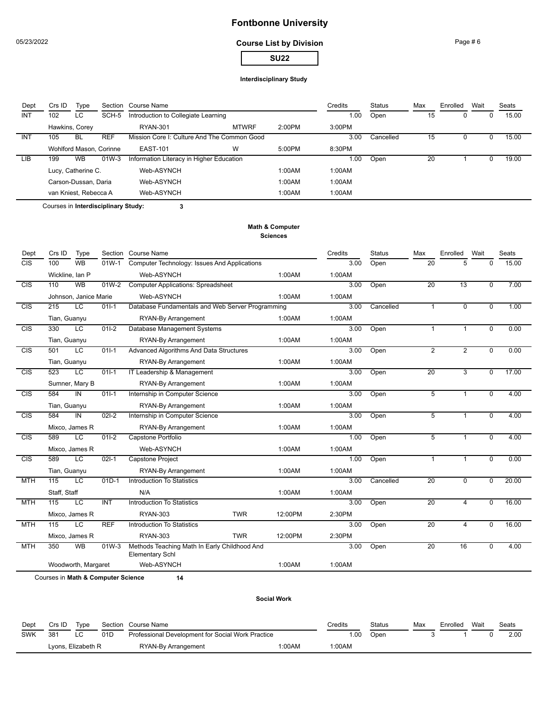05/23/2022

### **Course List by Division**

**SU22**

#### **Interdisciplinary Study**

| Dept | Crs ID               | Type                                                      | Section    | Course Name                                 |              |        | Credits | Status    | Max | Enrolled | Wait | Seats |
|------|----------------------|-----------------------------------------------------------|------------|---------------------------------------------|--------------|--------|---------|-----------|-----|----------|------|-------|
| INT  | 102                  | LC                                                        | SCH-5      | Introduction to Collegiate Learning         |              |        | 1.00    | Open      | 15  |          |      | 15.00 |
|      | Hawkins, Corey       |                                                           |            | <b>RYAN-301</b>                             | <b>MTWRF</b> | 2:00PM | 3:00PM  |           |     |          |      |       |
| INT  | 105                  | BL                                                        | <b>REF</b> | Mission Core I: Culture And The Common Good |              |        | 3.00    | Cancelled | 15  |          |      | 15.00 |
|      |                      | W<br><b>EAST-101</b><br>5:00PM<br>Wohlford Mason, Corinne |            |                                             |              | 8:30PM |         |           |     |          |      |       |
| LIB  | 199                  | <b>WB</b>                                                 | 01W-3      | Information Literacy in Higher Education    |              |        | 0.00    | Open      | 20  |          |      | 19.00 |
|      |                      | Lucy, Catherine C.                                        |            | Web-ASYNCH                                  |              | 1:00AM | 1:00AM  |           |     |          |      |       |
|      | Carson-Dussan, Daria |                                                           |            | Web-ASYNCH                                  |              | 1:00AM | 1:00AM  |           |     |          |      |       |
|      |                      | van Kniest, Rebecca A                                     |            | Web-ASYNCH                                  |              | 1:00AM | 1:00AM  |           |     |          |      |       |

Courses in **Interdisciplinary Study: 3**

### **Math & Computer**

#### **Sciences**

| Dept       | Crs ID                            | Type                  | Section          | <b>Course Name</b>                                                     |            |         | Credits | <b>Status</b> | Max             | Enrolled        | Wait           | Seats |
|------------|-----------------------------------|-----------------------|------------------|------------------------------------------------------------------------|------------|---------|---------|---------------|-----------------|-----------------|----------------|-------|
| <b>CIS</b> | 100                               | <b>WB</b>             | $01W-1$          | Computer Technology: Issues And Applications                           |            |         | 3.00    | Open          | 20              | 5               | 0              | 15.00 |
|            | Wickline, Ian P                   |                       |                  | Web-ASYNCH                                                             |            | 1:00AM  | 1:00AM  |               |                 |                 |                |       |
| CIS        | 110                               | <b>WB</b>             | $01W-2$          | <b>Computer Applications: Spreadsheet</b>                              |            |         | 3.00    | Open          | $\overline{20}$ | $\overline{13}$ | $\Omega$       | 7.00  |
|            |                                   | Johnson, Janice Marie |                  | Web-ASYNCH                                                             |            | 1:00AM  | 1:00AM  |               |                 |                 |                |       |
| CIS        | 215                               | ΙC                    | $011-1$          | Database Fundamentals and Web Server Programming                       |            |         | 3.00    | Cancelled     | $\overline{1}$  | $\Omega$        | 0              | 1.00  |
|            | Tian, Guanyu                      |                       |                  | RYAN-By Arrangement                                                    |            | 1:00AM  | 1:00AM  |               |                 |                 |                |       |
| CIS        | 330                               | τc                    | $011 - 2$        | Database Management Systems                                            |            |         | 3.00    | Open          | $\mathbf{1}$    | $\mathbf{1}$    | $\overline{0}$ | 0.00  |
|            | Tian, Guanyu                      |                       |                  | RYAN-By Arrangement                                                    |            | 1:00AM  | 1:00AM  |               |                 |                 |                |       |
| CIS        | 501                               | τc                    | $011-1$          | Advanced Algorithms And Data Structures                                |            |         | 3.00    | Open          | $\overline{2}$  | $\overline{2}$  | 0              | 0.00  |
|            | Tian, Guanyu                      |                       |                  | RYAN-By Arrangement                                                    |            | 1:00AM  | 1:00AM  |               |                 |                 |                |       |
| CIS        | 523                               | LC                    | $011-1$          | IT Leadership & Management                                             |            |         | 3.00    | Open          | $\overline{20}$ | $\overline{3}$  | $\mathbf 0$    | 17.00 |
|            |                                   | Sumner, Mary B        |                  | RYAN-By Arrangement                                                    |            | 1:00AM  | 1:00AM  |               |                 |                 |                |       |
| CIS        | 584                               | $\overline{N}$        | $011-1$          | Internship in Computer Science                                         |            |         | 3.00    | Open          | 5               | 1               | 0              | 4.00  |
|            | Tian, Guanyu                      |                       |                  | RYAN-By Arrangement                                                    |            | 1:00AM  | 1:00AM  |               |                 |                 |                |       |
| CIS        | 584                               | $\overline{N}$        | $021-2$          | Internship in Computer Science                                         |            |         | 3.00    | Open          | $\overline{5}$  | $\mathbf{1}$    | $\Omega$       | 4.00  |
|            | Mixco, James R                    |                       |                  | RYAN-By Arrangement                                                    |            | 1:00AM  | 1:00AM  |               |                 |                 |                |       |
| CIS        | 589                               | $\overline{LC}$       | $011-2$          | Capstone Portfolio                                                     |            |         | 1.00    | Open          | 5               | 1               | $\mathbf 0$    | 4.00  |
|            | Mixco, James R                    |                       |                  | Web-ASYNCH                                                             |            | 1:00AM  | 1:00AM  |               |                 |                 |                |       |
| <b>CIS</b> | 589                               | LC                    | $02I-1$          | <b>Capstone Project</b>                                                |            |         | 1.00    | Open          | $\mathbf{1}$    | 1               | $\mathbf 0$    | 0.00  |
|            | Tian, Guanyu                      |                       |                  | RYAN-By Arrangement                                                    |            | 1:00AM  | 1:00AM  |               |                 |                 |                |       |
| <b>MTH</b> | 115                               | $\overline{LC}$       | $01D-1$          | <b>Introduction To Statistics</b>                                      |            |         | 3.00    | Cancelled     | $\overline{20}$ | $\mathbf 0$     | $\mathbf 0$    | 20.00 |
|            | Staff, Staff                      |                       |                  | N/A                                                                    |            | 1:00AM  | 1:00AM  |               |                 |                 |                |       |
| <b>MTH</b> | 115                               | $\overline{LC}$       | $\overline{INT}$ | <b>Introduction To Statistics</b>                                      |            |         | 3.00    | Open          | $\overline{20}$ | $\overline{4}$  | 0              | 16.00 |
|            | Mixco, James R                    |                       |                  | <b>RYAN-303</b>                                                        | <b>TWR</b> | 12:00PM | 2:30PM  |               |                 |                 |                |       |
| <b>MTH</b> | 115                               | ΤC                    | <b>REF</b>       | <b>Introduction To Statistics</b>                                      |            |         | 3.00    | Open          | $\overline{20}$ | $\overline{4}$  | $\mathbf 0$    | 16.00 |
|            | Mixco, James R                    |                       |                  | <b>RYAN-303</b>                                                        | <b>TWR</b> | 12:00PM | 2:30PM  |               |                 |                 |                |       |
| <b>MTH</b> | 350                               | <b>WB</b>             | $01W-3$          | Methods Teaching Math In Early Childhood And<br><b>Elementary Schl</b> |            |         | 3.00    | Open          | $\overline{20}$ | 16              | 0              | 4.00  |
|            | Web-ASYNCH<br>Woodworth, Margaret |                       | 1:00AM           | 1:00AM                                                                 |            |         |         |               |                 |                 |                |       |

Courses in **Math & Computer Science 14**

#### **Social Work**

| Dept       | Crs ID             | Type |     | Section Course Name                               |       | Credits | Status | Max | Enrolled | Wait | Seats |
|------------|--------------------|------|-----|---------------------------------------------------|-------|---------|--------|-----|----------|------|-------|
| <b>SWK</b> | 381                |      | 01D | Professional Development for Social Work Practice |       | .00     | Open   |     |          |      |       |
|            | Lyons, Elizabeth R |      |     | RYAN-By Arrangement                               | :00AM | 1:00AM  |        |     |          |      |       |

Page # 6